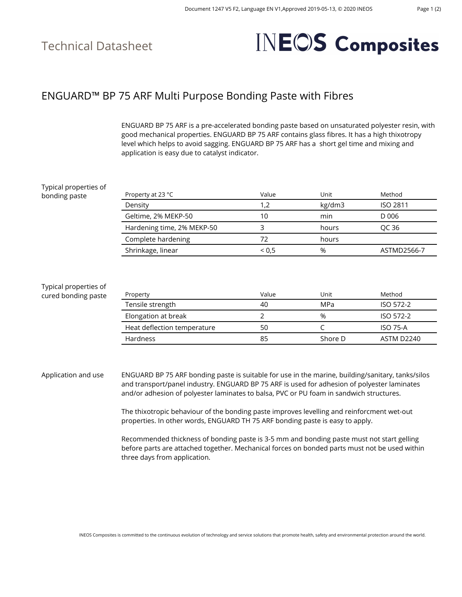### Technical Datasheet

# **INEOS Composites**

#### ENGUARD™ BP 75 ARF Multi Purpose Bonding Paste with Fibres

ENGUARD BP 75 ARF is a pre-accelerated bonding paste based on unsaturated polyester resin, with good mechanical properties. ENGUARD BP 75 ARF contains glass fibres. It has a high thixotropy level which helps to avoid sagging. ENGUARD BP 75 ARF has a short gel time and mixing and application is easy due to catalyst indicator.

| Typical properties of                        |                             |       |         |                   |
|----------------------------------------------|-----------------------------|-------|---------|-------------------|
| bonding paste                                | Property at 23 °C           | Value | Unit    | Method            |
|                                              | Density                     | 1,2   | kg/dm3  | <b>ISO 2811</b>   |
|                                              | Geltime, 2% MEKP-50         | 10    | min     | D 006             |
|                                              | Hardening time, 2% MEKP-50  | 3     | hours   | OC 36             |
|                                              | Complete hardening          | 72    | hours   |                   |
|                                              | Shrinkage, linear           | 0,5   | %       | ASTMD2566-7       |
| Typical properties of<br>cured bonding paste | Property                    | Value | Unit    | Method            |
|                                              | Tensile strength            | 40    | MPa     | ISO 572-2         |
|                                              | Elongation at break         | 2     | %       | ISO 572-2         |
|                                              | Heat deflection temperature | 50    | C       | <b>ISO 75-A</b>   |
|                                              | Hardness                    | 85    | Shore D | <b>ASTM D2240</b> |
|                                              |                             |       |         |                   |

Application and use ENGUARD BP 75 ARF bonding paste is suitable for use in the marine, building/sanitary, tanks/silos and transport/panel industry. ENGUARD BP 75 ARF is used for adhesion of polyester laminates and/or adhesion of polyester laminates to balsa, PVC or PU foam in sandwich structures.

> The thixotropic behaviour of the bonding paste improves levelling and reinforcment wet-out properties. In other words, ENGUARD TH 75 ARF bonding paste is easy to apply.

Recommended thickness of bonding paste is 3-5 mm and bonding paste must not start gelling before parts are attached together. Mechanical forces on bonded parts must not be used within three days from application.